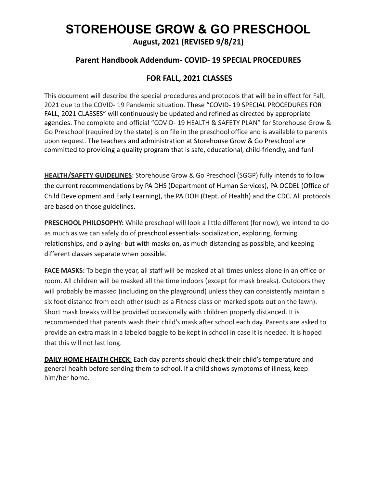# **STOREHOUSE GROW & GO PRESCHOOL**

**August, 2021 (REVISED 9/8/21)**

### **Parent Handbook Addendum- COVID- 19 SPECIAL PROCEDURES**

## **FOR FALL, 2021 CLASSES**

This document will describe the special procedures and protocols that will be in effect for Fall, 2021 due to the COVID- 19 Pandemic situation. These "COVID- 19 SPECIAL PROCEDURES FOR FALL, 2021 CLASSES" will continuously be updated and refined as directed by appropriate agencies. The complete and official "COVID- 19 HEALTH & SAFETY PLAN" for Storehouse Grow & Go Preschool (required by the state) is on file in the preschool office and is available to parents upon request. The teachers and administration at Storehouse Grow & Go Preschool are committed to providing a quality program that is safe, educational, child-friendly, and fun!

**HEALTH/SAFETY GUIDELINES**: Storehouse Grow & Go Preschool (SGGP) fully intends to follow the current recommendations by PA DHS (Department of Human Services), PA OCDEL (Office of Child Development and Early Learning), the PA DOH (Dept. of Health) and the CDC. All protocols are based on those guidelines.

**PRESCHOOL PHILOSOPHY:** While preschool will look a little different (for now), we intend to do as much as we can safely do of preschool essentials- socialization, exploring, forming relationships, and playing- but with masks on, as much distancing as possible, and keeping different classes separate when possible.

**FACE MASKS:** To begin the year, all staff will be masked at all times unless alone in an office or room. All children will be masked all the time indoors (except for mask breaks). Outdoors they will probably be masked (including on the playground) unless they can consistently maintain a six foot distance from each other (such as a Fitness class on marked spots out on the lawn). Short mask breaks will be provided occasionally with children properly distanced. It is recommended that parents wash their child's mask after school each day. Parents are asked to provide an extra mask in a labeled baggie to be kept in school in case it is needed. It is hoped that this will not last long.

**DAILY HOME HEALTH CHECK:** Each day parents should check their child's temperature and general health before sending them to school. If a child shows symptoms of illness, keep him/her home.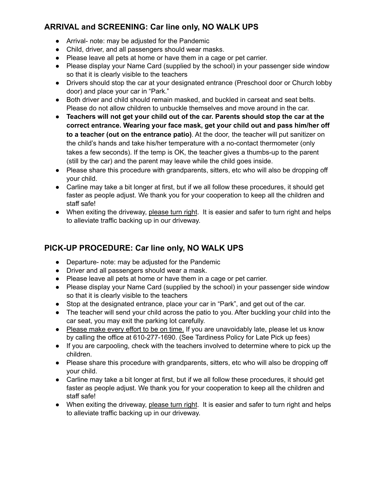## **ARRIVAL and SCREENING: Car line only, NO WALK UPS**

- Arrival- note: may be adjusted for the Pandemic
- Child, driver, and all passengers should wear masks.
- Please leave all pets at home or have them in a cage or pet carrier.
- Please display your Name Card (supplied by the school) in your passenger side window so that it is clearly visible to the teachers
- Drivers should stop the car at your designated entrance (Preschool door or Church lobby door) and place your car in "Park."
- Both driver and child should remain masked, and buckled in carseat and seat belts. Please do not allow children to unbuckle themselves and move around in the car.
- **Teachers will not get your child out of the car. Parents should stop the car at the correct entrance. Wearing your face mask, get your child out and pass him/her off to a teacher (out on the entrance patio)**. At the door, the teacher will put sanitizer on the child's hands and take his/her temperature with a no-contact thermometer (only takes a few seconds). If the temp is OK, the teacher gives a thumbs-up to the parent (still by the car) and the parent may leave while the child goes inside.
- Please share this procedure with grandparents, sitters, etc who will also be dropping off your child.
- Carline may take a bit longer at first, but if we all follow these procedures, it should get faster as people adjust. We thank you for your cooperation to keep all the children and staff safe!
- When exiting the driveway, please turn right. It is easier and safer to turn right and helps to alleviate traffic backing up in our driveway.

# **PICK-UP PROCEDURE: Car line only, NO WALK UPS**

- Departure- note: may be adjusted for the Pandemic
- Driver and all passengers should wear a mask.
- Please leave all pets at home or have them in a cage or pet carrier.
- Please display your Name Card (supplied by the school) in your passenger side window so that it is clearly visible to the teachers
- Stop at the designated entrance, place your car in "Park", and get out of the car.
- The teacher will send your child across the patio to you. After buckling your child into the car seat, you may exit the parking lot carefully.
- Please make every effort to be on time. If you are unavoidably late, please let us know by calling the office at 610-277-1690. (See Tardiness Policy for Late Pick up fees)
- If you are carpooling, check with the teachers involved to determine where to pick up the children.
- Please share this procedure with grandparents, sitters, etc who will also be dropping off your child.
- Carline may take a bit longer at first, but if we all follow these procedures, it should get faster as people adjust. We thank you for your cooperation to keep all the children and staff safe!
- When exiting the driveway, please turn right. It is easier and safer to turn right and helps to alleviate traffic backing up in our driveway.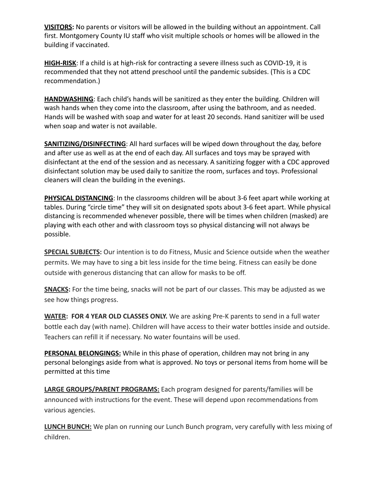**VISITORS:** No parents or visitors will be allowed in the building without an appointment. Call first. Montgomery County IU staff who visit multiple schools or homes will be allowed in the building if vaccinated.

**HIGH-RISK**: If a child is at high-risk for contracting a severe illness such as COVID-19, it is recommended that they not attend preschool until the pandemic subsides. (This is a CDC recommendation.)

**HANDWASHING**: Each child's hands will be sanitized as they enter the building. Children will wash hands when they come into the classroom, after using the bathroom, and as needed. Hands will be washed with soap and water for at least 20 seconds. Hand sanitizer will be used when soap and water is not available.

**SANITIZING/DISINFECTING:** All hard surfaces will be wiped down throughout the day, before and after use as well as at the end of each day. All surfaces and toys may be sprayed with disinfectant at the end of the session and as necessary. A sanitizing fogger with a CDC approved disinfectant solution may be used daily to sanitize the room, surfaces and toys. Professional cleaners will clean the building in the evenings.

**PHYSICAL DISTANCING**: In the classrooms children will be about 3-6 feet apart while working at tables. During "circle time" they will sit on designated spots about 3-6 feet apart. While physical distancing is recommended whenever possible, there will be times when children (masked) are playing with each other and with classroom toys so physical distancing will not always be possible.

**SPECIAL SUBJECTS:** Our intention is to do Fitness, Music and Science outside when the weather permits. We may have to sing a bit less inside for the time being. Fitness can easily be done outside with generous distancing that can allow for masks to be off.

**SNACKS:** For the time being, snacks will not be part of our classes. This may be adjusted as we see how things progress.

**WATER: FOR 4 YEAR OLD CLASSES ONLY.** We are asking Pre-K parents to send in a full water bottle each day (with name). Children will have access to their water bottles inside and outside. Teachers can refill it if necessary. No water fountains will be used.

**PERSONAL BELONGINGS:** While in this phase of operation, children may not bring in any personal belongings aside from what is approved. No toys or personal items from home will be permitted at this time

**LARGE GROUPS/PARENT PROGRAMS:** Each program designed for parents/families will be announced with instructions for the event. These will depend upon recommendations from various agencies.

**LUNCH BUNCH:** We plan on running our Lunch Bunch program, very carefully with less mixing of children.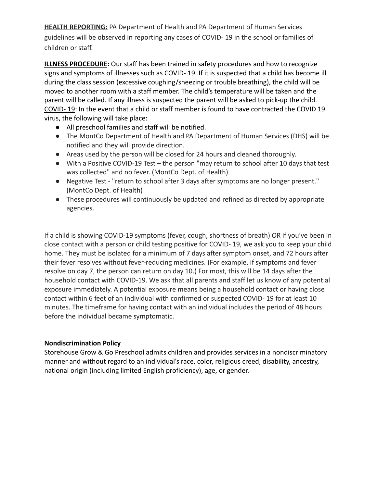**HEALTH REPORTING:** PA Department of Health and PA Department of Human Services guidelines will be observed in reporting any cases of COVID- 19 in the school or families of children or staff.

**ILLNESS PROCEDURE:** Our staff has been trained in safety procedures and how to recognize signs and symptoms of illnesses such as COVID- 19. If it is suspected that a child has become ill during the class session (excessive coughing/sneezing or trouble breathing), the child will be moved to another room with a staff member. The child's temperature will be taken and the parent will be called. If any illness is suspected the parent will be asked to pick-up the child. COVID- 19: In the event that a child or staff member is found to have contracted the COVID 19 virus, the following will take place:

- All preschool families and staff will be notified.
- The MontCo Department of Health and PA Department of Human Services (DHS) will be notified and they will provide direction.
- Areas used by the person will be closed for 24 hours and cleaned thoroughly.
- With a Positive COVID-19 Test the person "may return to school after 10 days that test was collected" and no fever. (MontCo Dept. of Health)
- Negative Test "return to school after 3 days after symptoms are no longer present." (MontCo Dept. of Health)
- These procedures will continuously be updated and refined as directed by appropriate agencies.

If a child is showing COVID-19 symptoms (fever, cough, shortness of breath) OR if you've been in close contact with a person or child testing positive for COVID- 19, we ask you to keep your child home. They must be isolated for a minimum of 7 days after symptom onset, and 72 hours after their fever resolves without fever-reducing medicines. (For example, if symptoms and fever resolve on day 7, the person can return on day 10.) For most, this will be 14 days after the household contact with COVID-19. We ask that all parents and staff let us know of any potential exposure immediately. A potential exposure means being a household contact or having close contact within 6 feet of an individual with confirmed or suspected COVID- 19 for at least 10 minutes. The timeframe for having contact with an individual includes the period of 48 hours before the individual became symptomatic.

#### **Nondiscrimination Policy**

Storehouse Grow & Go Preschool admits children and provides services in a nondiscriminatory manner and without regard to an individual's race, color, religious creed, disability, ancestry, national origin (including limited English proficiency), age, or gender.